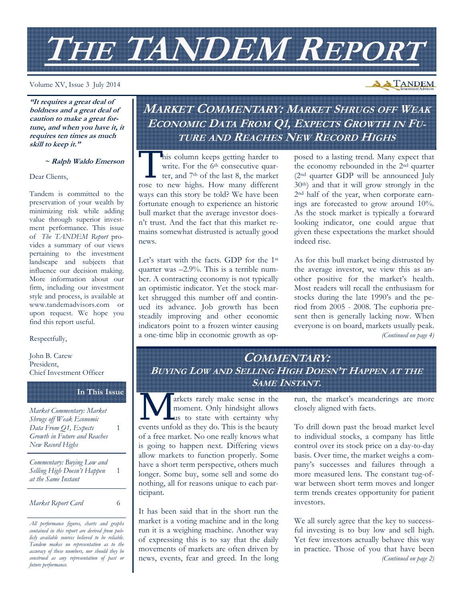# **THE TANDEM REPORT**

Volume XV, Issue 3 July 2014

**"It requires a great deal of boldness and a great deal of caution to make a great fortune, and when you have it, it requires ten times as much skill to keep it."** 

#### **~ Ralph Waldo Emerson**

Dear Clients,

Tandem is committed to the preservation of your wealth by minimizing risk while adding value through superior investment performance. This issue of *The TANDEM Report* provides a summary of our views pertaining to the investment landscape and subjects that influence our decision making. More information about our firm, including our investment style and process, is available at www.tandemadvisors.com or upon request. We hope you find this report useful.

#### Respectfully,

John B. Carew President, Chief Investment Officer

#### **In This Issue**

1

*Market Commentary: Market Shrugs off Weak Economic Data From Q1, Expects Growth in Future and Reaches New Record Highs*  1

*Commentary: Buying Low and Selling High Doesn't Happen at the Same Instant* 

*Market Report Card* 6

# **MARKET COMMENTARY: MARKET SHRUGS OFF WEAK ECONOMIC DATA FROM Q1, EXPECTS GROWTH IN FU-TURE AND REACHES NEW RECORD HIGHS**

This column keeps getting harder to<br>
write. For the 6<sup>th</sup> consecutive quar-<br>
ter, and 7<sup>th</sup> of the last 8, the market write. For the 6<sup>th</sup> consecutive quarrose to new highs. How many different ways can this story be told? We have been fortunate enough to experience an historic bull market that the average investor doesn't trust. And the fact that this market remains somewhat distrusted is actually good news.

Let's start with the facts. GDP for the 1st quarter was –2.9%. This is a terrible number. A contracting economy is not typically an optimistic indicator. Yet the stock market shrugged this number off and continued its advance. Job growth has been steadily improving and other economic indicators point to a frozen winter causing a one-time blip in economic growth as opposed to a lasting trend. Many expect that the economy rebounded in the 2nd quarter (2nd quarter GDP will be announced July 30th) and that it will grow strongly in the 2nd half of the year, when corporate earnings are forecasted to grow around 10%. As the stock market is typically a forward looking indicator, one could argue that given these expectations the market should indeed rise.

As for this bull market being distrusted by the average investor, we view this as another positive for the market's health. Most readers will recall the enthusiasm for stocks during the late 1990's and the period from 2005 - 2008. The euphoria present then is generally lacking now. When everyone is on board, markets usually peak. *(Continued on page 4)* 

## **COMMENTARY: BUYING LOW AND SELLING HIGH DOESN'T HAPPEN AT THE SAME INSTANT.**

W arkets rarely make sense in the moment. Only hindsight allows us to state with certainty why moment. Only hindsight allows Lus to state with certainty why events unfold as they do. This is the beauty of a free market. No one really knows what is going to happen next. Differing views allow markets to function properly. Some have a short term perspective, others much longer. Some buy, some sell and some do nothing, all for reasons unique to each participant.

It has been said that in the short run the market is a voting machine and in the long run it is a weighing machine. Another way of expressing this is to say that the daily movements of markets are often driven by news, events, fear and greed. In the long run, the market's meanderings are more closely aligned with facts.

To drill down past the broad market level to individual stocks, a company has little control over its stock price on a day-to-day basis. Over time, the market weighs a company's successes and failures through a more measured lens. The constant tug-ofwar between short term moves and longer term trends creates opportunity for patient investors.

We all surely agree that the key to successful investing is to buy low and sell high. Yet few investors actually behave this way in practice. Those of you that have been *(Continued on page 2)* 

# **A TANDEM**

*All performance figures, charts and graphs contained in this report are derived from publicly available sources believed to be reliable. Tandem makes no representation as to the accuracy of these numbers, nor should they be construed as any representation of past or future performance.*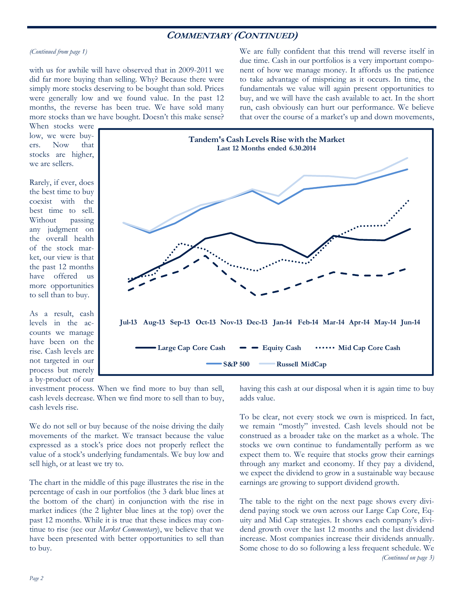## **COMMENTARY (CONTINUED)**

*(Continued from page 1)* 

with us for awhile will have observed that in 2009-2011 we did far more buying than selling. Why? Because there were simply more stocks deserving to be bought than sold. Prices were generally low and we found value. In the past 12 months, the reverse has been true. We have sold many more stocks than we have bought. Doesn't this make sense? We are fully confident that this trend will reverse itself in due time. Cash in our portfolios is a very important component of how we manage money. It affords us the patience to take advantage of mispricing as it occurs. In time, the fundamentals we value will again present opportunities to buy, and we will have the cash available to act. In the short run, cash obviously can hurt our performance. We believe that over the course of a market's up and down movements,

When stocks were low, we were buyers. Now that stocks are higher, we are sellers.

Rarely, if ever, does the best time to buy coexist with the best time to sell. Without passing any judgment on the overall health of the stock market, our view is that the past 12 months have offered us more opportunities to sell than to buy.

As a result, cash levels in the accounts we manage have been on the rise. Cash levels are not targeted in our process but merely a by-product of our



investment process. When we find more to buy than sell, cash levels decrease. When we find more to sell than to buy, cash levels rise.

We do not sell or buy because of the noise driving the daily movements of the market. We transact because the value expressed as a stock's price does not properly reflect the value of a stock's underlying fundamentals. We buy low and sell high, or at least we try to.

The chart in the middle of this page illustrates the rise in the percentage of cash in our portfolios (the 3 dark blue lines at the bottom of the chart) in conjunction with the rise in market indices (the 2 lighter blue lines at the top) over the past 12 months. While it is true that these indices may continue to rise (see our *Market Commentary*), we believe that we have been presented with better opportunities to sell than to buy.

having this cash at our disposal when it is again time to buy adds value.

To be clear, not every stock we own is mispriced. In fact, we remain "mostly" invested. Cash levels should not be construed as a broader take on the market as a whole. The stocks we own continue to fundamentally perform as we expect them to. We require that stocks grow their earnings through any market and economy. If they pay a dividend, we expect the dividend to grow in a sustainable way because earnings are growing to support dividend growth.

The table to the right on the next page shows every dividend paying stock we own across our Large Cap Core, Equity and Mid Cap strategies. It shows each company's dividend growth over the last 12 months and the last dividend increase. Most companies increase their dividends annually. Some chose to do so following a less frequent schedule. We *(Continued on page 3)*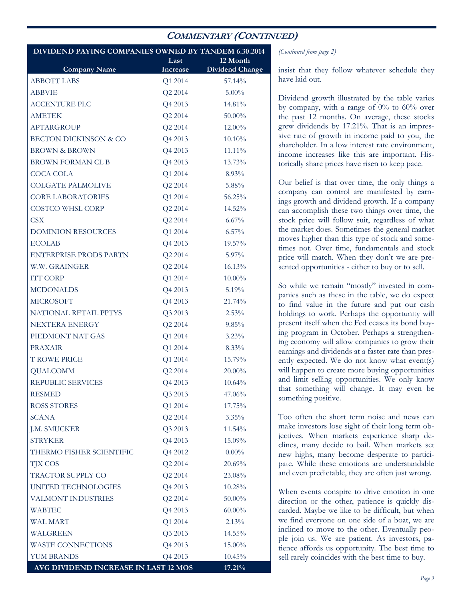## **COMMENTARY (CONTINUED)**

| DIVIDEND PAYING COMPANIES OWNED BY TANDEM 6.30.2014 |                 |                        |
|-----------------------------------------------------|-----------------|------------------------|
|                                                     | Last            | 12 Month               |
| <b>Company Name</b>                                 | <b>Increase</b> | <b>Dividend Change</b> |
| <b>ABBOTT LABS</b>                                  | Q1 2014         | 57.14%                 |
| <b>ABBVIE</b>                                       | Q2 2014         | $5.00\%$               |
| <b>ACCENTURE PLC</b>                                | Q4 2013         | 14.81%                 |
| <b>AMETEK</b>                                       | Q2 2014         | $50.00\%$              |
| APTARGROUP                                          | Q2 2014         | 12.00%                 |
| <b>BECTON DICKINSON &amp; CO</b>                    | Q4 2013         | 10.10%                 |
| <b>BROWN &amp; BROWN</b>                            | Q4 2013         | 11.11%                 |
| BROWN FORMAN CL B                                   | Q4 2013         | 13.73%                 |
| <b>COCA COLA</b>                                    | Q1 2014         | 8.93%                  |
| <b>COLGATE PALMOLIVE</b>                            | Q2 2014         | 5.88%                  |
| <b>CORE LABORATORIES</b>                            | Q1 2014         | 56.25%                 |
| COSTCO WHSL CORP                                    | Q2 2014         | 14.52%                 |
| <b>CSX</b>                                          | Q2 2014         | $6.67\%$               |
| <b>DOMINION RESOURCES</b>                           | Q1 2014         | $6.57\%$               |
| <b>ECOLAB</b>                                       | Q4 2013         | 19.57%                 |
| <b>ENTERPRISE PRODS PARTN</b>                       | Q2 2014         | $5.97\%$               |
| W.W. GRAINGER                                       | Q2 2014         | 16.13%                 |
| <b>ITT CORP</b>                                     | Q1 2014         | $10.00\%$              |
| <b>MCDONALDS</b>                                    | Q4 2013         | $5.19\%$               |
| <b>MICROSOFT</b>                                    | Q4 2013         | 21.74%                 |
| NATIONAL RETAIL PPTYS                               | Q3 2013         | $2.53\%$               |
| <b>NEXTERA ENERGY</b>                               | Q2 2014         | 9.85%                  |
| PIEDMONT NAT GAS                                    | Q1 2014         | 3.23%                  |
| <b>PRAXAIR</b>                                      | Q1 2014         | $8.33\%$               |
| <b>T ROWE PRICE</b>                                 | Q1 2014         | 15.79%                 |
| <b>QUALCOMM</b>                                     | Q2 2014         | $20.00\%$              |
| REPUBLIC SERVICES                                   | Q4 2013         | 10.64%                 |
| <b>RESMED</b>                                       | Q3 2013         | 47.06%                 |
| <b>ROSS STORES</b>                                  | Q1 2014         | 17.75%                 |
| <b>SCANA</b>                                        | Q2 2014         | $3.35\%$               |
| J.M. SMUCKER                                        | Q3 2013         | 11.54%                 |
| <b>STRYKER</b>                                      | Q4 2013         | 15.09%                 |
| THERMO FISHER SCIENTIFIC                            | Q4 2012         | $0.00\%$               |
| <b>TJX COS</b>                                      | Q2 2014         | 20.69%                 |
| TRACTOR SUPPLY CO                                   | Q2 2014         | 23.08%                 |
| <b>UNITED TECHNOLOGIES</b>                          | Q4 2013         | 10.28%                 |
| VALMONT INDUSTRIES                                  | Q2 2014         | 50.00%                 |
| <b>WABTEC</b>                                       | Q4 2013         | $60.00\%$              |
| <b>WAL MART</b>                                     | Q1 2014         | 2.13%                  |
| WALGREEN                                            | Q3 2013         | 14.55%                 |
| <b>WASTE CONNECTIONS</b>                            | Q4 2013         | 15.00%                 |
| <b>YUM BRANDS</b>                                   | Q4 2013         | 10.45%                 |
| AVG DIVIDEND INCREASE IN LAST 12 MOS                |                 | 17.21%                 |

*(Continued from page 2)* 

insist that they follow whatever schedule they have laid out.

Dividend growth illustrated by the table varies by company, with a range of  $0\%$  to  $60\%$  over the past 12 months. On average, these stocks grew dividends by 17.21%. That is an impressive rate of growth in income paid to you, the shareholder. In a low interest rate environment, income increases like this are important. Historically share prices have risen to keep pace.

Our belief is that over time, the only things a company can control are manifested by earnings growth and dividend growth. If a company can accomplish these two things over time, the stock price will follow suit, regardless of what the market does. Sometimes the general market moves higher than this type of stock and sometimes not. Over time, fundamentals and stock price will match. When they don't we are presented opportunities - either to buy or to sell.

So while we remain "mostly" invested in companies such as these in the table, we do expect to find value in the future and put our cash holdings to work. Perhaps the opportunity will present itself when the Fed ceases its bond buying program in October. Perhaps a strengthening economy will allow companies to grow their earnings and dividends at a faster rate than presently expected. We do not know what event(s) will happen to create more buying opportunities and limit selling opportunities. We only know that something will change. It may even be something positive.

Too often the short term noise and news can make investors lose sight of their long term objectives. When markets experience sharp declines, many decide to bail. When markets set new highs, many become desperate to participate. While these emotions are understandable and even predictable, they are often just wrong.

When events conspire to drive emotion in one direction or the other, patience is quickly discarded. Maybe we like to be difficult, but when we find everyone on one side of a boat, we are inclined to move to the other. Eventually people join us. We are patient. As investors, patience affords us opportunity. The best time to sell rarely coincides with the best time to buy.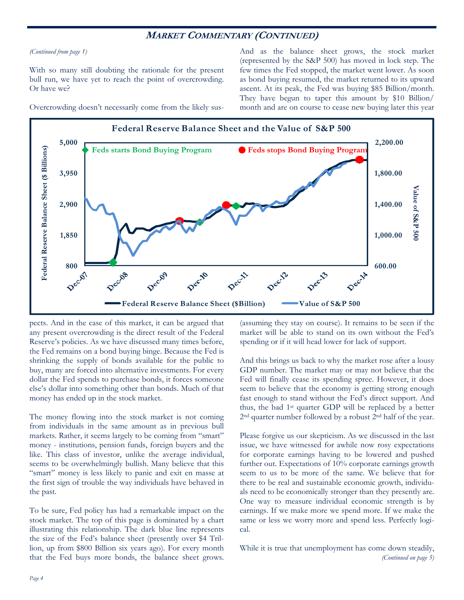### **MARKET COMMENTARY (CONTINUED)**

*(Continued from page 1)* 

With so many still doubting the rationale for the present bull run, we have yet to reach the point of overcrowding. Or have we?

And as the balance sheet grows, the stock market (represented by the S&P 500) has moved in lock step. The few times the Fed stopped, the market went lower. As soon as bond buying resumed, the market returned to its upward ascent. At its peak, the Fed was buying \$85 Billion/month. They have begun to taper this amount by \$10 Billion/ month and are on course to cease new buying later this year



Overcrowding doesn't necessarily come from the likely sus-

pects. And in the case of this market, it can be argued that any present overcrowding is the direct result of the Federal Reserve's policies. As we have discussed many times before, the Fed remains on a bond buying binge. Because the Fed is shrinking the supply of bonds available for the public to buy, many are forced into alternative investments. For every dollar the Fed spends to purchase bonds, it forces someone else's dollar into something other than bonds. Much of that money has ended up in the stock market.

The money flowing into the stock market is not coming from individuals in the same amount as in previous bull markets. Rather, it seems largely to be coming from "smart" money - institutions, pension funds, foreign buyers and the like. This class of investor, unlike the average individual, seems to be overwhelmingly bullish. Many believe that this "smart" money is less likely to panic and exit en masse at the first sign of trouble the way individuals have behaved in the past.

To be sure, Fed policy has had a remarkable impact on the stock market. The top of this page is dominated by a chart illustrating this relationship. The dark blue line represents the size of the Fed's balance sheet (presently over \$4 Trillion, up from \$800 Billion six years ago). For every month that the Fed buys more bonds, the balance sheet grows.

(assuming they stay on course). It remains to be seen if the market will be able to stand on its own without the Fed's spending or if it will head lower for lack of support.

And this brings us back to why the market rose after a lousy GDP number. The market may or may not believe that the Fed will finally cease its spending spree. However, it does seem to believe that the economy is getting strong enough fast enough to stand without the Fed's direct support. And thus, the bad 1st quarter GDP will be replaced by a better 2nd quarter number followed by a robust 2nd half of the year.

Please forgive us our skepticism. As we discussed in the last issue, we have witnessed for awhile now rosy expectations for corporate earnings having to be lowered and pushed further out. Expectations of 10% corporate earnings growth seem to us to be more of the same. We believe that for there to be real and sustainable economic growth, individuals need to be economically stronger than they presently are. One way to measure individual economic strength is by earnings. If we make more we spend more. If we make the same or less we worry more and spend less. Perfectly logical.

While it is true that unemployment has come down steadily, *(Continued on page 5)*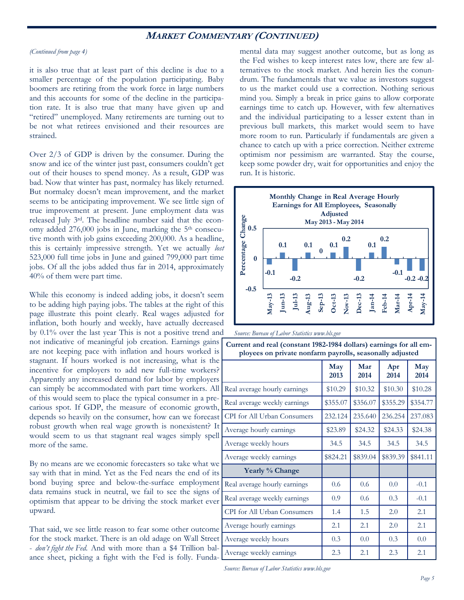## **MARKET COMMENTARY (CONTINUED)**

#### *(Continued from page 4)*

it is also true that at least part of this decline is due to a smaller percentage of the population participating. Baby boomers are retiring from the work force in large numbers and this accounts for some of the decline in the participation rate. It is also true that many have given up and "retired" unemployed. Many retirements are turning out to be not what retirees envisioned and their resources are strained.

Over 2/3 of GDP is driven by the consumer. During the snow and ice of the winter just past, consumers couldn't get out of their houses to spend money. As a result, GDP was bad. Now that winter has past, normalcy has likely returned. But normalcy doesn't mean improvement, and the market seems to be anticipating improvement. We see little sign of true improvement at present. June employment data was released July 3rd. The headline number said that the economy added 276,000 jobs in June, marking the 5th consecutive month with job gains exceeding 200,000. As a headline, this is certainly impressive strength. Yet we actually *lost* 523,000 full time jobs in June and gained 799,000 part time jobs. Of all the jobs added thus far in 2014, approximately 40% of them were part time.

While this economy is indeed adding jobs, it doesn't seem to be adding high paying jobs. The tables at the right of this page illustrate this point clearly. Real wages adjusted for inflation, both hourly and weekly, have actually decreased by 0.1% over the last year This is not a positive trend and not indicative of meaningful job creation. Earnings gains  $\sqrt{\omega}$ are not keeping pace with inflation and hours worked is stagnant. If hours worked is not increasing, what is the incentive for employers to add new full-time workers? Apparently any increased demand for labor by employers can simply be accommodated with part time workers. All of this would seem to place the typical consumer in a precarious spot. If GDP, the measure of economic growth, depends so heavily on the consumer, how can we forecast robust growth when real wage growth is nonexistent? It would seem to us that stagnant real wages simply spell more of the same.

By no means are we economic forecasters so take what we say with that in mind. Yet as the Fed nears the end of its bond buying spree and below-the-surface employment data remains stuck in neutral, we fail to see the signs of optimism that appear to be driving the stock market ever upward.

That said, we see little reason to fear some other outcome for the stock market. There is an old adage on Wall Street - *don't fight the Fed*. And with more than a \$4 Trillion balance sheet, picking a fight with the Fed is folly. Fundamental data may suggest another outcome, but as long as the Fed wishes to keep interest rates low, there are few alternatives to the stock market. And herein lies the conundrum. The fundamentals that we value as investors suggest to us the market could use a correction. Nothing serious mind you. Simply a break in price gains to allow corporate earnings time to catch up. However, with few alternatives and the individual participating to a lesser extent than in previous bull markets, this market would seem to have more room to run. Particularly if fundamentals are given a chance to catch up with a price correction. Neither extreme optimism nor pessimism are warranted. Stay the course, keep some powder dry, wait for opportunities and enjoy the run. It is historic.



**Current and real (constant 1982-1984 dollars) earnings for all em-**

*Source: Bureau of Labor Statistics www.bls.gov* 

| Current and real (constant 1982-1984 domais) earnings for an em-<br>ployees on private nonfarm payrolls, seasonally adjusted |                            |          |             |             |  |  |  |
|------------------------------------------------------------------------------------------------------------------------------|----------------------------|----------|-------------|-------------|--|--|--|
|                                                                                                                              | Mar<br>May<br>2013<br>2014 |          | Apr<br>2014 | May<br>2014 |  |  |  |
| Real average hourly earnings                                                                                                 | \$10.29                    | \$10.32  | \$10.30     | \$10.28     |  |  |  |
| Real average weekly earnings                                                                                                 | \$355.07                   | \$356.07 | \$355.29    | \$354.77    |  |  |  |
| CPI for All Urban Consumers                                                                                                  | 232.124                    | 235.640  | 236.254     | 237.083     |  |  |  |
| Average hourly earnings                                                                                                      | \$23.89                    | \$24.32  | \$24.33     | \$24.38     |  |  |  |
| Average weekly hours                                                                                                         | 34.5                       | 34.5     | 34.5        | 34.5        |  |  |  |
| Average weekly earnings                                                                                                      | \$824.21                   | \$839.04 | \$839.39    | \$841.11    |  |  |  |
| Yearly % Change                                                                                                              |                            |          |             |             |  |  |  |
| Real average hourly earnings                                                                                                 | 0.6                        | 0.6      | 0.0         | $-0.1$      |  |  |  |
| Real average weekly earnings                                                                                                 | 0.9                        | 0.6      | 0.3         | $-0.1$      |  |  |  |
| CPI for All Urban Consumers                                                                                                  | 1.4                        | 1.5      | 2.0         | 2.1         |  |  |  |
| Average hourly earnings                                                                                                      | 2.1                        | 2.1      | 2.0         | 2.1         |  |  |  |
| Average weekly hours                                                                                                         | 0.3                        | 0.0      | 0.3         | 0.0         |  |  |  |
| Average weekly earnings                                                                                                      | 2.3                        | 2.1      | 2.3         | 2.1         |  |  |  |

*Source: Bureau of Labor Statistics www.bls.gov*